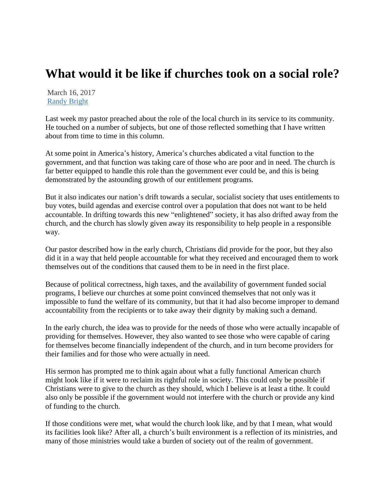## **What would it be like if churches took on a social role?**

March 16, 2017 [Randy Bright](http://tulsabeacon.com/author/randy-bright/)

Last week my pastor preached about the role of the local church in its service to its community. He touched on a number of subjects, but one of those reflected something that I have written about from time to time in this column.

At some point in America's history, America's churches abdicated a vital function to the government, and that function was taking care of those who are poor and in need. The church is far better equipped to handle this role than the government ever could be, and this is being demonstrated by the astounding growth of our entitlement programs.

But it also indicates our nation's drift towards a secular, socialist society that uses entitlements to buy votes, build agendas and exercise control over a population that does not want to be held accountable. In drifting towards this new "enlightened" society, it has also drifted away from the church, and the church has slowly given away its responsibility to help people in a responsible way.

Our pastor described how in the early church, Christians did provide for the poor, but they also did it in a way that held people accountable for what they received and encouraged them to work themselves out of the conditions that caused them to be in need in the first place.

Because of political correctness, high taxes, and the availability of government funded social programs, I believe our churches at some point convinced themselves that not only was it impossible to fund the welfare of its community, but that it had also become improper to demand accountability from the recipients or to take away their dignity by making such a demand.

In the early church, the idea was to provide for the needs of those who were actually incapable of providing for themselves. However, they also wanted to see those who were capable of caring for themselves become financially independent of the church, and in turn become providers for their families and for those who were actually in need.

His sermon has prompted me to think again about what a fully functional American church might look like if it were to reclaim its rightful role in society. This could only be possible if Christians were to give to the church as they should, which I believe is at least a tithe. It could also only be possible if the government would not interfere with the church or provide any kind of funding to the church.

If those conditions were met, what would the church look like, and by that I mean, what would its facilities look like? After all, a church's built environment is a reflection of its ministries, and many of those ministries would take a burden of society out of the realm of government.